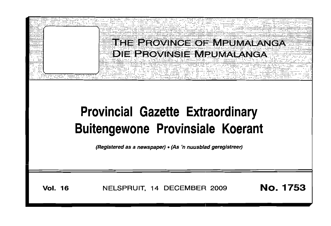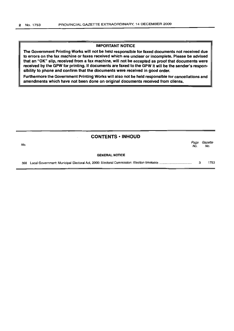#### IMPORTANT NOTICE

The Government Printing Works will not be held responsible for faxed documents not received due to errors on the fax machine or faxes received which are unclear or incomplete. Please be advised that an "OK" slip, received from a fax machine, will not be accepted as proof that documents were received by the GPW for printing. If documents are faxed to the GPW it will be the sender's responsibility to phone and confirm that the documents were received in good order.

Furthermore the Government Printing Works will also not be held responsible for cancellations and amendments which have not been done on original documents received from clients.

|     | <b>CONTENTS • INHOUD</b> |             |                |
|-----|--------------------------|-------------|----------------|
| No. |                          | Page<br>No. | Gazette<br>No. |
|     | <b>GENERAL NOTICE</b>    |             |                |
| 398 |                          | з           | 1753           |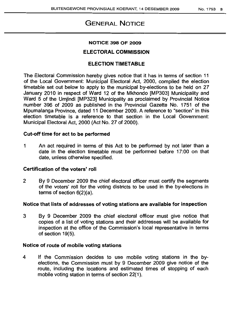# GENERAL NOTICE

#### NOTICE 398 OF 2009

#### ELECTORAL COMMISSION

## ELECTION TIMETABLE

The Electoral Commission hereby gives notice that it has in terms of section 11 of the Local Government: Municipal Electoral Act, 2000, compiled the election timetable set out below to apply to the municipal by-elections to be held on 27 January 2010 in respect of Ward 12 of the Mkhondo [MP303] Municipality and Ward 5 of the Umjindi [MP323] Municipality as proclaimed by Provincial Notice number 396 of 2009 as published in the Provincial Gazette No. 1751 of the Mpumalanga Province, dated 11 December 2009. A reference to "section" in this election timetable is a reference to that section in the Local Government: Municipal Electoral Act, 2000 (Act No. 27 of 2000).

#### Cut-off time for act to be performed

1 An act required in terms of this Act to be performed by not later than a date in the election timetable must be performed before 17:00 on that date, unless otherwise specified.

#### Certification of the voters' roll

2 By 9 December 2009 the chief electoral officer must certify the segments of the voters' roll for the voting districts to be used in the by-elections in terms of section 6(2)(a).

### Notice that lists of addresses of voting stations are available for inspection

3 By 9 December 2009 the chief electoral officer must give notice that copies of a list of voting stations and their addresses will be available for inspection at the office of the Commission's local representative in terms of section 19(5).

#### Notice of route of mobile voting stations

4 If the Commission decides to use mobile voting stations in the byelections, the Commission must by 9 December 2009 give notice of the route, including the locations and estimated times of stopping of each mobile voting station in terms of section 22(1).